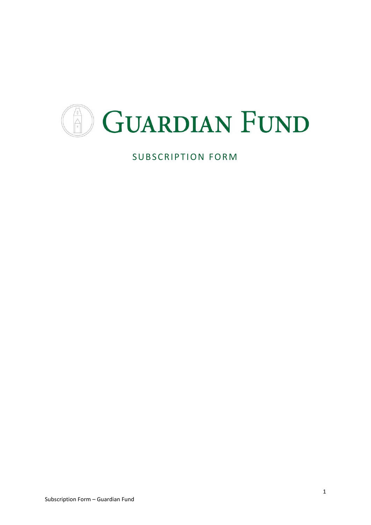

SUBSCRIPTION FORM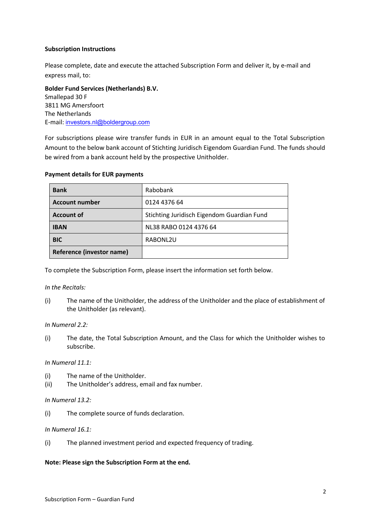## **Subscription Instructions**

Please complete, date and execute the attached Subscription Form and deliver it, by e-mail and express mail, to:

**Bolder Fund Services (Netherlands) B.V.**  Smallepad 30 F 3811 MG Amersfoort The Netherlands E-mail: investors.nl@boldergroup.com

For subscriptions please wire transfer funds in EUR in an amount equal to the Total Subscription Amount to the below bank account of Stichting Juridisch Eigendom Guardian Fund. The funds should be wired from a bank account held by the prospective Unitholder.

| <b>Bank</b>               | Rabobank                                   |
|---------------------------|--------------------------------------------|
| <b>Account number</b>     | 0124 4376 64                               |
| <b>Account of</b>         | Stichting Juridisch Eigendom Guardian Fund |
| <b>IBAN</b>               | NL38 RABO 0124 4376 64                     |
| <b>BIC</b>                | RABONL2U                                   |
| Reference (investor name) |                                            |

### **Payment details for EUR payments**

To complete the Subscription Form, please insert the information set forth below.

### *In the Recitals:*

(i) The name of the Unitholder, the address of the Unitholder and the place of establishment of the Unitholder (as relevant).

### *In Numeral 2.2:*

(i) The date, the Total Subscription Amount, and the Class for which the Unitholder wishes to subscribe.

### *In Numeral 11.1:*

- (i) The name of the Unitholder.
- (ii) The Unitholder's address, email and fax number.

### *In Numeral 13.2:*

(i) The complete source of funds declaration.

#### *In Numeral 16.1:*

(i) The planned investment period and expected frequency of trading.

#### **Note: Please sign the Subscription Form at the end.**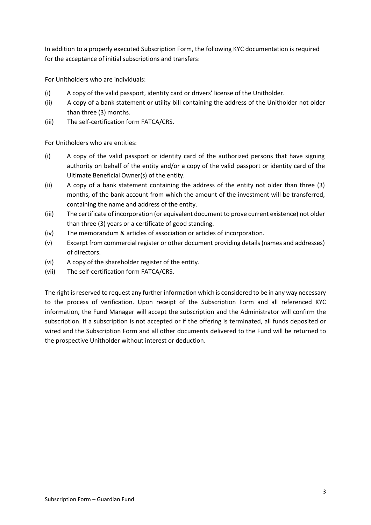In addition to a properly executed Subscription Form, the following KYC documentation is required for the acceptance of initial subscriptions and transfers:

For Unitholders who are individuals:

- (i) A copy of the valid passport, identity card or drivers' license of the Unitholder.
- (ii) A copy of a bank statement or utility bill containing the address of the Unitholder not older than three (3) months.
- (iii) The self-certification form FATCA/CRS.

For Unitholders who are entities:

- (i) A copy of the valid passport or identity card of the authorized persons that have signing authority on behalf of the entity and/or a copy of the valid passport or identity card of the Ultimate Beneficial Owner(s) of the entity.
- (ii) A copy of a bank statement containing the address of the entity not older than three (3) months, of the bank account from which the amount of the investment will be transferred, containing the name and address of the entity.
- (iii) The certificate of incorporation (or equivalent document to prove current existence) not older than three (3) years or a certificate of good standing.
- (iv) The memorandum & articles of association or articles of incorporation.
- (v) Excerpt from commercial register or other document providing details (names and addresses) of directors.
- (vi) A copy of the shareholder register of the entity.
- (vii) The self-certification form FATCA/CRS.

The right is reserved to request any further information which is considered to be in any way necessary to the process of verification. Upon receipt of the Subscription Form and all referenced KYC information, the Fund Manager will accept the subscription and the Administrator will confirm the subscription. If a subscription is not accepted or if the offering is terminated, all funds deposited or wired and the Subscription Form and all other documents delivered to the Fund will be returned to the prospective Unitholder without interest or deduction.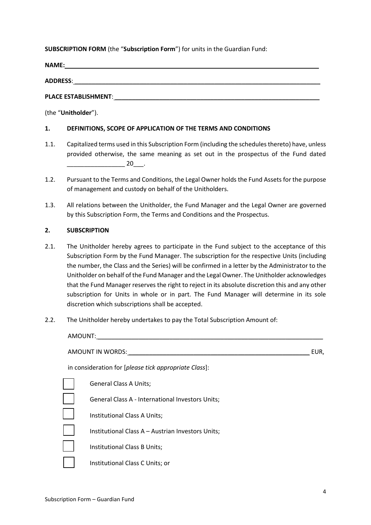## **SUBSCRIPTION FORM** (the "**Subscription Form**") for units in the Guardian Fund:

**NAME:** \_\_\_\_\_\_\_\_\_\_\_\_\_\_\_\_\_\_\_\_\_\_\_\_\_\_\_\_\_\_\_\_\_\_\_\_\_\_\_\_\_\_\_\_\_\_\_\_\_\_\_\_\_\_\_\_\_\_\_\_\_\_\_\_\_\_\_\_\_\_\_\_\_\_

**ADDRESS**: \_\_\_\_\_\_\_\_\_\_\_\_\_\_\_\_\_\_\_\_\_\_\_\_\_\_\_\_\_\_\_\_\_\_\_\_\_\_\_\_\_\_\_\_\_\_\_\_\_\_\_\_\_\_\_\_\_\_\_\_\_\_\_\_\_\_\_\_\_\_\_\_

PLACE ESTABLISHMENT:

(the "**Unitholder**").

## **1. DEFINITIONS, SCOPE OF APPLICATION OF THE TERMS AND CONDITIONS**

- 1.1. Capitalized terms used in this Subscription Form (including the schedules thereto) have, unless provided otherwise, the same meaning as set out in the prospectus of the Fund dated  $20$  .
- 1.2. Pursuant to the Terms and Conditions, the Legal Owner holds the Fund Assets for the purpose of management and custody on behalf of the Unitholders.
- 1.3. All relations between the Unitholder, the Fund Manager and the Legal Owner are governed by this Subscription Form, the Terms and Conditions and the Prospectus.

## **2. SUBSCRIPTION**

- 2.1. The Unitholder hereby agrees to participate in the Fund subject to the acceptance of this Subscription Form by the Fund Manager. The subscription for the respective Units (including the number, the Class and the Series) will be confirmed in a letter by the Administrator to the Unitholder on behalf of the Fund Manager and the Legal Owner. The Unitholder acknowledges that the Fund Manager reserves the right to reject in its absolute discretion this and any other subscription for Units in whole or in part. The Fund Manager will determine in its sole discretion which subscriptions shall be accepted.
- 2.2. The Unitholder hereby undertakes to pay the Total Subscription Amount of:

| AMOUNT:                                               |      |
|-------------------------------------------------------|------|
| AMOUNT IN WORDS:                                      | EUR, |
| in consideration for [please tick appropriate Class]: |      |
| <b>General Class A Units;</b>                         |      |
| General Class A - International Investors Units;      |      |
| Institutional Class A Units;                          |      |
| Institutional Class A – Austrian Investors Units;     |      |
| Institutional Class B Units;                          |      |
| Institutional Class C Units; or                       |      |
|                                                       |      |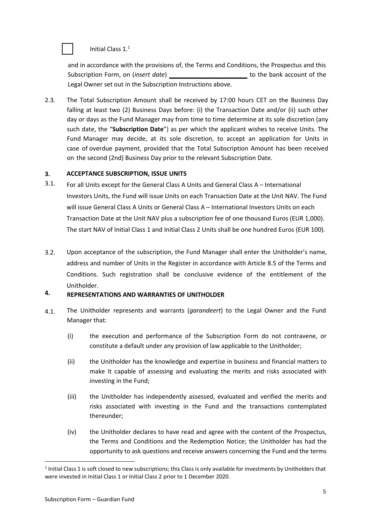# $\vert$  Initial Class 1.<sup>1</sup>

and in accordance with the provisions of, the Terms and Conditions, the Prospectus and this Subscription Form, on (*insert date*) \_\_\_\_\_\_\_\_\_\_\_\_\_\_\_\_\_\_\_\_\_\_\_ to the bank account of the Legal Owner set out in the Subscription Instructions above.

2.3. The Total Subscription Amount shall be received by 17:00 hours CET on the Business Day falling at least two (2) Business Days before: (i) the Transaction Date and/or (ii) such other day or days as the Fund Manager may from time to time determine at its sole discretion (any such date, the "**Subscription Date**") as per which the applicant wishes to receive Units. The Fund Manager may decide, at its sole discretion, to accept an application for Units in case of overdue payment, provided that the Total Subscription Amount has been received on the second (2nd) Business Day prior to the relevant Subscription Date.

#### **3. ACCEPTANCE SUBSCRIPTION, ISSUE UNITS**

- 3.1. For all Units except for the General Class A Units and General Class A – International Investors Units, the Fund will issue Units on each Transaction Date at the Unit NAV. The Fund will issue General Class A Units or General Class A – International Investors Units on each Transaction Date at the Unit NAV plus a subscription fee of one thousand Euros (EUR 1,000). The start NAV of Initial Class 1 and Initial Class 2 Units shall be one hundred Euros (EUR 100).
- 3.2. Upon acceptance of the subscription, the Fund Manager shall enter the Unitholder's name, address and number of Units in the Register in accordance with Article 8.5 of the Terms and Conditions. Such registration shall be conclusive evidence of the entitlement of the Unitholder.

# **4. REPRESENTATIONS AND WARRANTIES OF UNITHOLDER**

- 4.1. The Unitholder represents and warrants (*garandeert*) to the Legal Owner and the Fund Manager that:
	- (i) the execution and performance of the Subscription Form do not contravene, or constitute a default under any provision of law applicable to the Unitholder;
	- (ii) the Unitholder has the knowledge and expertise in business and financial matters to make it capable of assessing and evaluating the merits and risks associated with investing in the Fund;
	- (iii) the Unitholder has independently assessed, evaluated and verified the merits and risks associated with investing in the Fund and the transactions contemplated thereunder;
	- (iv) the Unitholder declares to have read and agree with the content of the Prospectus, the Terms and Conditions and the Redemption Notice; the Unitholder has had the opportunity to ask questions and receive answers concerning the Fund and the terms

 $<sup>1</sup>$  Initial Class 1 is soft closed to new subscriptions; this Class is only available for investments by Unitholders that</sup> were invested in Initial Class 1 or Initial Class 2 prior to 1 December 2020.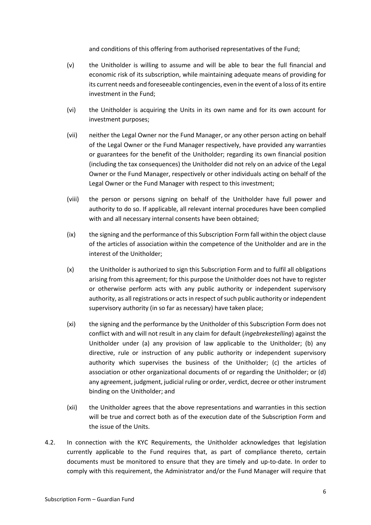and conditions of this offering from authorised representatives of the Fund;

- (v) the Unitholder is willing to assume and will be able to bear the full financial and economic risk of its subscription, while maintaining adequate means of providing for its current needs and foreseeable contingencies, even in the event of a loss of its entire investment in the Fund;
- (vi) the Unitholder is acquiring the Units in its own name and for its own account for investment purposes;
- (vii) neither the Legal Owner nor the Fund Manager, or any other person acting on behalf of the Legal Owner or the Fund Manager respectively, have provided any warranties or guarantees for the benefit of the Unitholder; regarding its own financial position (including the tax consequences) the Unitholder did not rely on an advice of the Legal Owner or the Fund Manager, respectively or other individuals acting on behalf of the Legal Owner or the Fund Manager with respect to this investment;
- (viii) the person or persons signing on behalf of the Unitholder have full power and authority to do so. If applicable, all relevant internal procedures have been complied with and all necessary internal consents have been obtained;
- (ix) the signing and the performance of this Subscription Form fall within the object clause of the articles of association within the competence of the Unitholder and are in the interest of the Unitholder;
- (x) the Unitholder is authorized to sign this Subscription Form and to fulfil all obligations arising from this agreement; for this purpose the Unitholder does not have to register or otherwise perform acts with any public authority or independent supervisory authority, as all registrations or acts in respect of such public authority or independent supervisory authority (in so far as necessary) have taken place;
- (xi) the signing and the performance by the Unitholder of this Subscription Form does not conflict with and will not result in any claim for default (*ingebrekestelling*) against the Unitholder under (a) any provision of law applicable to the Unitholder; (b) any directive, rule or instruction of any public authority or independent supervisory authority which supervises the business of the Unitholder; (c) the articles of association or other organizational documents of or regarding the Unitholder; or (d) any agreement, judgment, judicial ruling or order, verdict, decree or other instrument binding on the Unitholder; and
- (xii) the Unitholder agrees that the above representations and warranties in this section will be true and correct both as of the execution date of the Subscription Form and the issue of the Units.
- 4.2. In connection with the KYC Requirements, the Unitholder acknowledges that legislation currently applicable to the Fund requires that, as part of compliance thereto, certain documents must be monitored to ensure that they are timely and up-to-date. In order to comply with this requirement, the Administrator and/or the Fund Manager will require that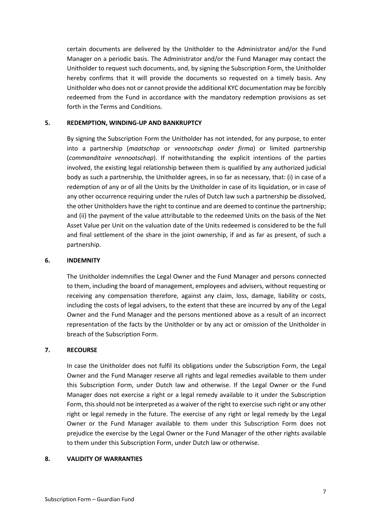certain documents are delivered by the Unitholder to the Administrator and/or the Fund Manager on a periodic basis. The Administrator and/or the Fund Manager may contact the Unitholder to request such documents, and, by signing the Subscription Form, the Unitholder hereby confirms that it will provide the documents so requested on a timely basis. Any Unitholder who does not or cannot provide the additional KYC documentation may be forcibly redeemed from the Fund in accordance with the mandatory redemption provisions as set forth in the Terms and Conditions.

#### **5. REDEMPTION, WINDING-UP AND BANKRUPTCY**

By signing the Subscription Form the Unitholder has not intended, for any purpose, to enter into a partnership (*maatschap* or *vennootschap onder firma*) or limited partnership (*commanditaire vennootschap*). If notwithstanding the explicit intentions of the parties involved, the existing legal relationship between them is qualified by any authorized judicial body as such a partnership, the Unitholder agrees, in so far as necessary, that: (i) in case of a redemption of any or of all the Units by the Unitholder in case of its liquidation, or in case of any other occurrence requiring under the rules of Dutch law such a partnership be dissolved, the other Unitholders have the right to continue and are deemed to continue the partnership; and (ii) the payment of the value attributable to the redeemed Units on the basis of the Net Asset Value per Unit on the valuation date of the Units redeemed is considered to be the full and final settlement of the share in the joint ownership, if and as far as present, of such a partnership.

#### **6. INDEMNITY**

The Unitholder indemnifies the Legal Owner and the Fund Manager and persons connected to them, including the board of management, employees and advisers, without requesting or receiving any compensation therefore, against any claim, loss, damage, liability or costs, including the costs of legal advisers, to the extent that these are incurred by any of the Legal Owner and the Fund Manager and the persons mentioned above as a result of an incorrect representation of the facts by the Unitholder or by any act or omission of the Unitholder in breach of the Subscription Form.

### **7. RECOURSE**

In case the Unitholder does not fulfil its obligations under the Subscription Form, the Legal Owner and the Fund Manager reserve all rights and legal remedies available to them under this Subscription Form, under Dutch law and otherwise. If the Legal Owner or the Fund Manager does not exercise a right or a legal remedy available to it under the Subscription Form, this should not be interpreted as a waiver of the right to exercise such right or any other right or legal remedy in the future. The exercise of any right or legal remedy by the Legal Owner or the Fund Manager available to them under this Subscription Form does not prejudice the exercise by the Legal Owner or the Fund Manager of the other rights available to them under this Subscription Form, under Dutch law or otherwise.

#### **8. VALIDITY OF WARRANTIES**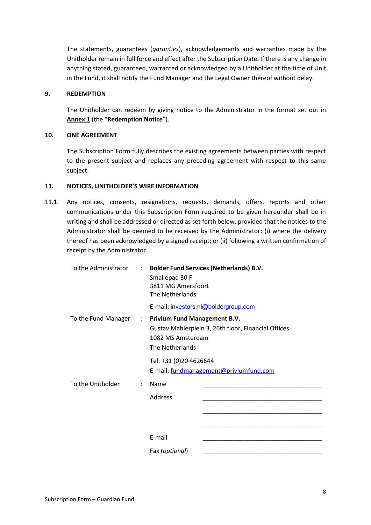The statements, guarantees (*garanties*), acknowledgements and warranties made by the Unitholder remain in full force and effect after the Subscription Date. If there is any change in anything stated, guaranteed, warranted or acknowledged by a Unitholder at the time of Unit in the Fund, it shall notify the Fund Manager and the Legal Owner thereof without delay.

## **9. REDEMPTION**

The Unitholder can redeem by giving notice to the Administrator in the format set out in **Annex 1** (the "**Redemption Notice**").

#### **10. ONE AGREEMENT**

The Subscription Form fully describes the existing agreements between parties with respect to the present subject and replaces any preceding agreement with respect to this same subject.

#### **11. NOTICES, UNITHOLDER'S WIRE INFORMATION**

11.1. Any notices, consents, resignations, requests, demands, offers, reports and other communications under this Subscription Form required to be given hereunder shall be in writing and shall be addressed or directed as set forth below, provided that the notices to the Administrator shall be deemed to be received by the Administrator: (i) where the delivery thereof has been acknowledged by a signed receipt; or (ii) following a written confirmation of receipt by the Administrator.

| To the Administrator | $\mathcal{L}$ | Smallepad 30 F<br>3811 MG Amersfoort<br>The Netherlands                                                                                             | <b>Bolder Fund Services (Netherlands) B.V.</b> |
|----------------------|---------------|-----------------------------------------------------------------------------------------------------------------------------------------------------|------------------------------------------------|
|                      |               | E-mail: investors.nl@boldergroup.com                                                                                                                |                                                |
| To the Fund Manager  |               | <b>Privium Fund Management B.V.</b><br>$\mathcal{L}$<br>Gustav Mahlerplein 3, 26th floor, Financial Offices<br>1082 MS Amsterdam<br>The Netherlands |                                                |
|                      |               | Tel: +31 (0)20 4626644                                                                                                                              | E-mail: fundmanagement@priviumfund.com         |
| To the Unitholder    |               | Name                                                                                                                                                |                                                |
|                      |               | Address                                                                                                                                             |                                                |
|                      |               |                                                                                                                                                     |                                                |
|                      |               | E-mail                                                                                                                                              |                                                |
|                      |               | Fax (optional)                                                                                                                                      |                                                |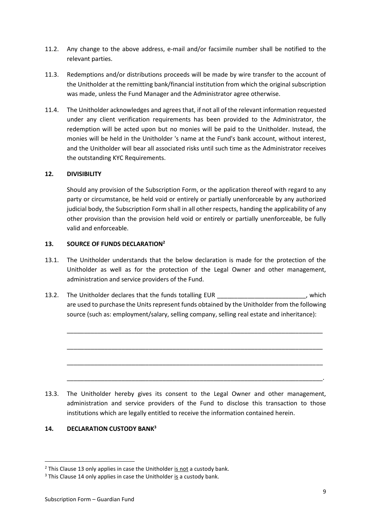- 11.2. Any change to the above address, e-mail and/or facsimile number shall be notified to the relevant parties.
- 11.3. Redemptions and/or distributions proceeds will be made by wire transfer to the account of the Unitholder at the remitting bank/financial institution from which the original subscription was made, unless the Fund Manager and the Administrator agree otherwise.
- 11.4. The Unitholder acknowledges and agrees that, if not all of the relevant information requested under any client verification requirements has been provided to the Administrator, the redemption will be acted upon but no monies will be paid to the Unitholder. Instead, the monies will be held in the Unitholder 's name at the Fund's bank account, without interest, and the Unitholder will bear all associated risks until such time as the Administrator receives the outstanding KYC Requirements.

## **12. DIVISIBILITY**

Should any provision of the Subscription Form, or the application thereof with regard to any party or circumstance, be held void or entirely or partially unenforceable by any authorized judicial body, the Subscription Form shall in all other respects, handing the applicability of any other provision than the provision held void or entirely or partially unenforceable, be fully valid and enforceable.

### <span id="page-8-0"></span>**13. SOURCE OF FUNDS DECLARATION<sup>2</sup>**

- 13.1. The Unitholder understands that the below declaration is made for the protection of the Unitholder as well as for the protection of the Legal Owner and other management, administration and service providers of the Fund.
- 13.2. The Unitholder declares that the funds totalling EUR and the state of the state of the state of the stat are used to purchase the Units represent funds obtained by the Unitholder from the following source (such as: employment/salary, selling company, selling real estate and inheritance):

\_\_\_\_\_\_\_\_\_\_\_\_\_\_\_\_\_\_\_\_\_\_\_\_\_\_\_\_\_\_\_\_\_\_\_\_\_\_\_\_\_\_\_\_\_\_\_\_\_\_\_\_\_\_\_\_\_\_\_\_\_\_\_\_\_\_\_\_\_\_\_\_\_\_\_

\_\_\_\_\_\_\_\_\_\_\_\_\_\_\_\_\_\_\_\_\_\_\_\_\_\_\_\_\_\_\_\_\_\_\_\_\_\_\_\_\_\_\_\_\_\_\_\_\_\_\_\_\_\_\_\_\_\_\_\_\_\_\_\_\_\_\_\_\_\_\_\_\_\_\_

\_\_\_\_\_\_\_\_\_\_\_\_\_\_\_\_\_\_\_\_\_\_\_\_\_\_\_\_\_\_\_\_\_\_\_\_\_\_\_\_\_\_\_\_\_\_\_\_\_\_\_\_\_\_\_\_\_\_\_\_\_\_\_\_\_\_\_\_\_\_\_\_\_\_\_

\_\_\_\_\_\_\_\_\_\_\_\_\_\_\_\_\_\_\_\_\_\_\_\_\_\_\_\_\_\_\_\_\_\_\_\_\_\_\_\_\_\_\_\_\_\_\_\_\_\_\_\_\_\_\_\_\_\_\_\_\_\_\_\_\_\_\_\_\_\_\_\_\_\_\_.

13.3. The Unitholder hereby gives its consent to the Legal Owner and other management, administration and service providers of the Fund to disclose this transaction to those institutions which are legally entitled to receive the information contained herein.

## <span id="page-8-1"></span>**14. DECLARATION CUSTODY BANK<sup>3</sup>**

 $2$  This Clause [13](#page-8-0) only applies in case the Unitholder is not a custody bank.

 $3$  This Clause [14](#page-8-1) only applies in case the Unitholder is a custody bank.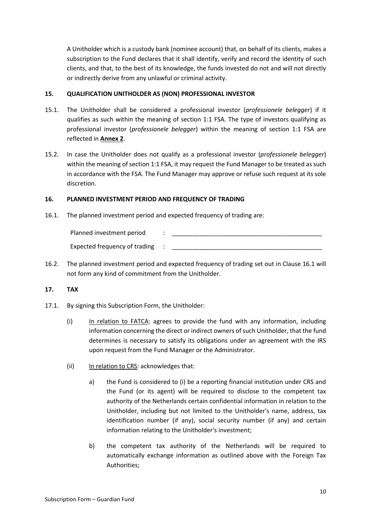A Unitholder which is a custody bank (nominee account) that, on behalf of its clients, makes a subscription to the Fund declares that it shall identify, verify and record the identity of such clients, and that, to the best of its knowledge, the funds invested do not and will not directly or indirectly derive from any unlawful or criminal activity.

## **15. QUALIFICATION UNITHOLDER AS (NON) PROFESSIONAL INVESTOR**

- 15.1. The Unitholder shall be considered a professional investor (*professionele belegger*) if it qualifies as such within the meaning of section 1:1 FSA. The type of investors qualifying as professional investor (*professionele belegger*) within the meaning of section 1:1 FSA are reflected in **Annex 2**.
- 15.2. In case the Unitholder does not qualify as a professional investor (*professionele belegger*) within the meaning of section 1:1 FSA, it may request the Fund Manager to be treated as such in accordance with the FSA. The Fund Manager may approve or refuse such request at its sole discretion.

## **16. PLANNED INVESTMENT PERIOD AND FREQUENCY OF TRADING**

<span id="page-9-0"></span>16.1. The planned investment period and expected frequency of trading are:

| Planned investment period     |  |
|-------------------------------|--|
| Expected frequency of trading |  |

16.2. The planned investment period and expected frequency of trading set out in Clause [16.1](#page-9-0) will not form any kind of commitment from the Unitholder.

## **17. TAX**

- 17.1. By signing this Subscription Form, the Unitholder:
	- (i) In relation to FATCA: agrees to provide the fund with any information, including information concerning the direct or indirect owners of such Unitholder, that the fund determines is necessary to satisfy its obligations under an agreement with the IRS upon request from the Fund Manager or the Administrator.
	- (ii) In relation to CRS: acknowledges that:
		- a) the Fund is considered to (i) be a reporting financial institution under CRS and the Fund (or its agent) will be required to disclose to the competent tax authority of the Netherlands certain confidential information in relation to the Unitholder, including but not limited to the Unitholder's name, address, tax identification number (if any), social security number (if any) and certain information relating to the Unitholder's investment;
		- b) the competent tax authority of the Netherlands will be required to automatically exchange information as outlined above with the Foreign Tax Authorities;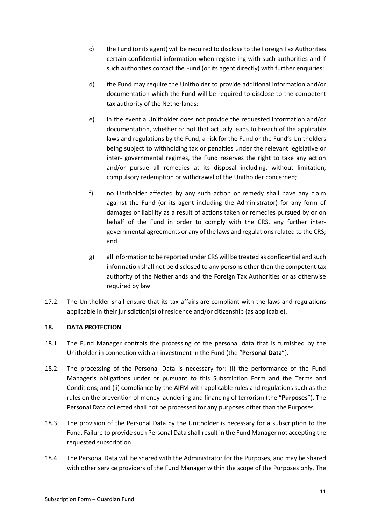- c) the Fund (or its agent) will be required to disclose to the Foreign Tax Authorities certain confidential information when registering with such authorities and if such authorities contact the Fund (or its agent directly) with further enquiries;
- d) the Fund may require the Unitholder to provide additional information and/or documentation which the Fund will be required to disclose to the competent tax authority of the Netherlands;
- e) in the event a Unitholder does not provide the requested information and/or documentation, whether or not that actually leads to breach of the applicable laws and regulations by the Fund, a risk for the Fund or the Fund's Unitholders being subject to withholding tax or penalties under the relevant legislative or inter- governmental regimes, the Fund reserves the right to take any action and/or pursue all remedies at its disposal including, without limitation, compulsory redemption or withdrawal of the Unitholder concerned;
- f) no Unitholder affected by any such action or remedy shall have any claim against the Fund (or its agent including the Administrator) for any form of damages or liability as a result of actions taken or remedies pursued by or on behalf of the Fund in order to comply with the CRS, any further intergovernmental agreements or any of the laws and regulations related to the CRS; and
- g) all information to be reported under CRS will be treated as confidential and such information shall not be disclosed to any persons other than the competent tax authority of the Netherlands and the Foreign Tax Authorities or as otherwise required by law.
- 17.2. The Unitholder shall ensure that its tax affairs are compliant with the laws and regulations applicable in their jurisdiction(s) of residence and/or citizenship (as applicable).

## **18. DATA PROTECTION**

- 18.1. The Fund Manager controls the processing of the personal data that is furnished by the Unitholder in connection with an investment in the Fund (the "**Personal Data**").
- 18.2. The processing of the Personal Data is necessary for: (i) the performance of the Fund Manager's obligations under or pursuant to this Subscription Form and the Terms and Conditions; and (ii) compliance by the AIFM with applicable rules and regulations such as the rules on the prevention of money laundering and financing of terrorism (the "**Purposes**"). The Personal Data collected shall not be processed for any purposes other than the Purposes.
- 18.3. The provision of the Personal Data by the Unitholder is necessary for a subscription to the Fund. Failure to provide such Personal Data shall result in the Fund Manager not accepting the requested subscription.
- 18.4. The Personal Data will be shared with the Administrator for the Purposes, and may be shared with other service providers of the Fund Manager within the scope of the Purposes only. The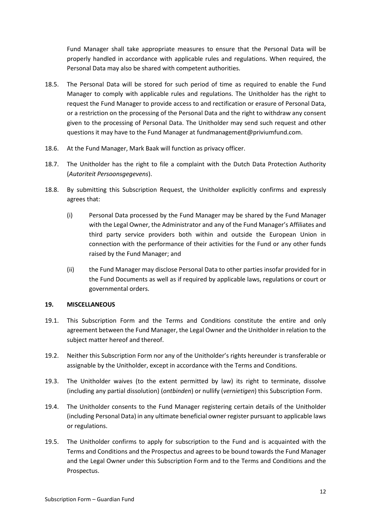Fund Manager shall take appropriate measures to ensure that the Personal Data will be properly handled in accordance with applicable rules and regulations. When required, the Personal Data may also be shared with competent authorities.

- 18.5. The Personal Data will be stored for such period of time as required to enable the Fund Manager to comply with applicable rules and regulations. The Unitholder has the right to request the Fund Manager to provide access to and rectification or erasure of Personal Data, or a restriction on the processing of the Personal Data and the right to withdraw any consent given to the processing of Personal Data. The Unitholder may send such request and other questions it may have to the Fund Manager at fundmanagement@priviumfund.com.
- 18.6. At the Fund Manager, Mark Baak will function as privacy officer.
- 18.7. The Unitholder has the right to file a complaint with the Dutch Data Protection Authority (*Autoriteit Persoonsgegevens*).
- 18.8. By submitting this Subscription Request, the Unitholder explicitly confirms and expressly agrees that:
	- (i) Personal Data processed by the Fund Manager may be shared by the Fund Manager with the Legal Owner, the Administrator and any of the Fund Manager's Affiliates and third party service providers both within and outside the European Union in connection with the performance of their activities for the Fund or any other funds raised by the Fund Manager; and
	- (ii) the Fund Manager may disclose Personal Data to other parties insofar provided for in the Fund Documents as well as if required by applicable laws, regulations or court or governmental orders.

### **19. MISCELLANEOUS**

- 19.1. This Subscription Form and the Terms and Conditions constitute the entire and only agreement between the Fund Manager, the Legal Owner and the Unitholder in relation to the subject matter hereof and thereof.
- 19.2. Neither this Subscription Form nor any of the Unitholder's rights hereunder is transferable or assignable by the Unitholder, except in accordance with the Terms and Conditions.
- 19.3. The Unitholder waives (to the extent permitted by law) its right to terminate, dissolve (including any partial dissolution) (*ontbinden*) or nullify (*vernietigen*) this Subscription Form.
- 19.4. The Unitholder consents to the Fund Manager registering certain details of the Unitholder (including Personal Data) in any ultimate beneficial owner register pursuant to applicable laws or regulations.
- 19.5. The Unitholder confirms to apply for subscription to the Fund and is acquainted with the Terms and Conditions and the Prospectus and agrees to be bound towards the Fund Manager and the Legal Owner under this Subscription Form and to the Terms and Conditions and the Prospectus.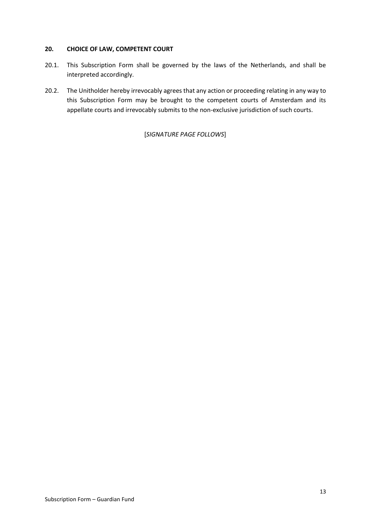### **20. CHOICE OF LAW, COMPETENT COURT**

- 20.1. This Subscription Form shall be governed by the laws of the Netherlands, and shall be interpreted accordingly.
- 20.2. The Unitholder hereby irrevocably agrees that any action or proceeding relating in any way to this Subscription Form may be brought to the competent courts of Amsterdam and its appellate courts and irrevocably submits to the non-exclusive jurisdiction of such courts.

[*SIGNATURE PAGE FOLLOWS*]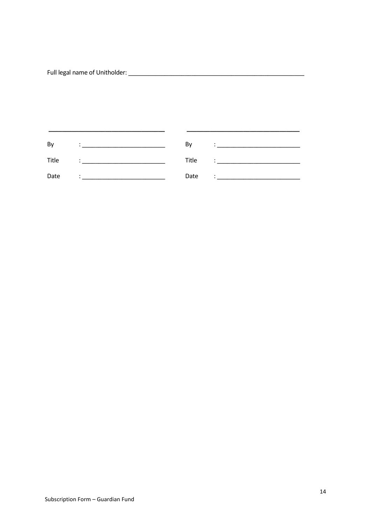| By    | Bv    |           |
|-------|-------|-----------|
| Title | Title | ٠         |
| Date  | Date  | $\bullet$ |

 $\overline{\phantom{0}}$ 

 $\overline{\phantom{a}}$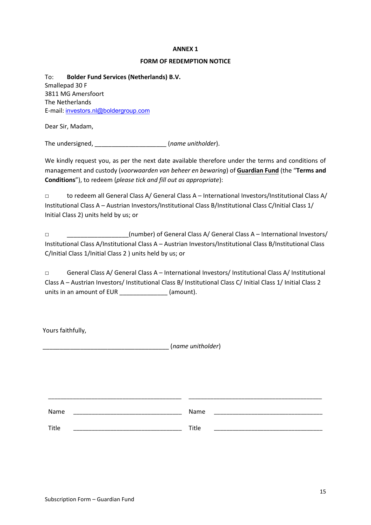#### **ANNEX 1**

#### **FORM OF REDEMPTION NOTICE**

To: **Bolder Fund Services (Netherlands) B.V.** Smallepad 30 F 3811 MG Amersfoort The Netherlands E-mail: investors.nl@boldergroup.com

Dear Sir, Madam,

The undersigned, \_\_\_\_\_\_\_\_\_\_\_\_\_\_\_\_\_\_\_\_\_ (*name unitholder*).

We kindly request you, as per the next date available therefore under the terms and conditions of management and custody (*voorwaarden van beheer en bewaring*) of **Guardian Fund** (the "**Terms and Conditions**"), to redeem (*please tick and fill out as appropriate*):

□ to redeem all General Class A/ General Class A – International Investors/Institutional Class A/ Institutional Class A – Austrian Investors/Institutional Class B/Institutional Class C/Initial Class 1/ Initial Class 2) units held by us; or

□ \_\_\_\_\_\_\_\_\_\_\_\_\_\_\_\_\_\_(number) of General Class A/ General Class A – International Investors/ Institutional Class A/Institutional Class A – Austrian Investors/Institutional Class B/Institutional Class C/Initial Class 1/Initial Class 2 ) units held by us; or

□ General Class A/ General Class A – International Investors/ Institutional Class A/ Institutional Class A – Austrian Investors/ Institutional Class B/ Institutional Class C/ Initial Class 1/ Initial Class 2 units in an amount of EUR (amount).

Yours faithfully,

\_\_\_\_\_\_\_\_\_\_\_\_\_\_\_\_\_\_\_\_\_\_\_\_\_\_\_\_\_\_\_\_\_\_\_\_\_ (*name unitholder*)

| Name  | Name  |  |
|-------|-------|--|
| Title | Title |  |

\_\_\_\_\_\_\_\_\_\_\_\_\_\_\_\_\_\_\_\_\_\_\_\_\_\_\_\_\_\_\_\_\_\_\_\_\_\_\_\_\_\_\_ \_\_\_\_\_\_\_\_\_\_\_\_\_\_\_\_\_\_\_\_\_\_\_\_\_\_\_\_\_\_\_\_\_\_\_\_\_\_\_\_\_\_\_